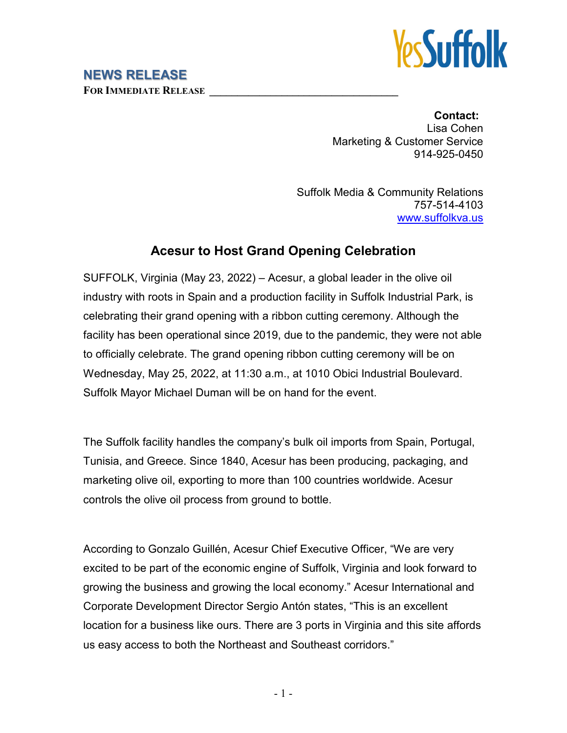

## **NEWS RELEASE**

**FOR IMMEDIATE RELEASE \_\_\_\_\_\_\_\_\_\_\_\_\_\_\_\_\_\_\_\_\_\_\_\_\_\_\_\_\_\_\_\_\_\_**

**Contact:** Lisa Cohen Marketing & Customer Service 914-925-0450

Suffolk Media & Community Relations 757-514-4103 [www.suffolkva.us](http://www.suffolkva.us/)

## **Acesur to Host Grand Opening Celebration**

SUFFOLK, Virginia (May 23, 2022) – Acesur, a global leader in the olive oil industry with roots in Spain and a production facility in Suffolk Industrial Park, is celebrating their grand opening with a ribbon cutting ceremony. Although the facility has been operational since 2019, due to the pandemic, they were not able to officially celebrate. The grand opening ribbon cutting ceremony will be on Wednesday, May 25, 2022, at 11:30 a.m., at 1010 Obici Industrial Boulevard. Suffolk Mayor Michael Duman will be on hand for the event.

The Suffolk facility handles the company's bulk oil imports from Spain, Portugal, Tunisia, and Greece. Since 1840, Acesur has been producing, packaging, and marketing olive oil, exporting to more than 100 countries worldwide. Acesur controls the olive oil process from ground to bottle.

According to Gonzalo Guillén, Acesur Chief Executive Officer, "We are very excited to be part of the economic engine of Suffolk, Virginia and look forward to growing the business and growing the local economy." Acesur International and Corporate Development Director Sergio Antón states, "This is an excellent location for a business like ours. There are 3 ports in Virginia and this site affords us easy access to both the Northeast and Southeast corridors."